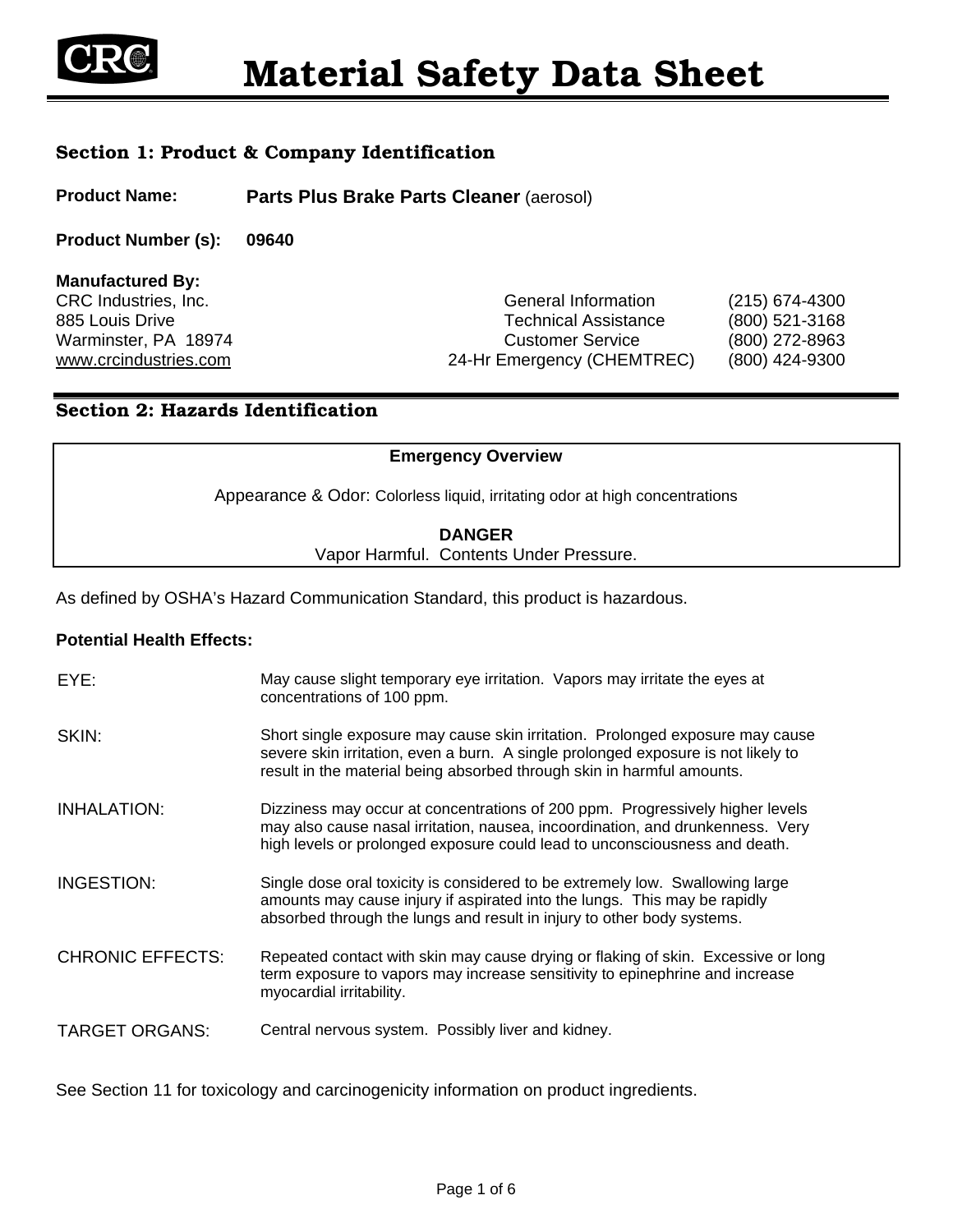

## Section 1: Product & Company Identification

**Product Name: Parts Plus Brake Parts Cleaner** (aerosol)

**Product Number (s): 09640** 

**Manufactured By:** 

CRC Industries, Inc. General Information (215) 674-4300 885 Louis Drive **Technical Assistance** (800) 521-3168 Warminster, PA 18974 Customer Service (800) 272-8963 www.crcindustries.com 24-Hr Emergency (CHEMTREC) (800) 424-9300

## Section 2: Hazards Identification

#### **Emergency Overview**

Appearance & Odor: Colorless liquid, irritating odor at high concentrations

#### **DANGER** Vapor Harmful. Contents Under Pressure.

As defined by OSHA's Hazard Communication Standard, this product is hazardous.

#### **Potential Health Effects:**

| EYE:                    | May cause slight temporary eye irritation. Vapors may irritate the eyes at<br>concentrations of 100 ppm.                                                                                                                                      |
|-------------------------|-----------------------------------------------------------------------------------------------------------------------------------------------------------------------------------------------------------------------------------------------|
| SKIN:                   | Short single exposure may cause skin irritation. Prolonged exposure may cause<br>severe skin irritation, even a burn. A single prolonged exposure is not likely to<br>result in the material being absorbed through skin in harmful amounts.  |
| INHALATION:             | Dizziness may occur at concentrations of 200 ppm. Progressively higher levels<br>may also cause nasal irritation, nausea, incoordination, and drunkenness. Very<br>high levels or prolonged exposure could lead to unconsciousness and death. |
| INGESTION:              | Single dose oral toxicity is considered to be extremely low. Swallowing large<br>amounts may cause injury if aspirated into the lungs. This may be rapidly<br>absorbed through the lungs and result in injury to other body systems.          |
| <b>CHRONIC EFFECTS:</b> | Repeated contact with skin may cause drying or flaking of skin. Excessive or long<br>term exposure to vapors may increase sensitivity to epinephrine and increase<br>myocardial irritability.                                                 |
| <b>TARGET ORGANS:</b>   | Central nervous system. Possibly liver and kidney.                                                                                                                                                                                            |

See Section 11 for toxicology and carcinogenicity information on product ingredients.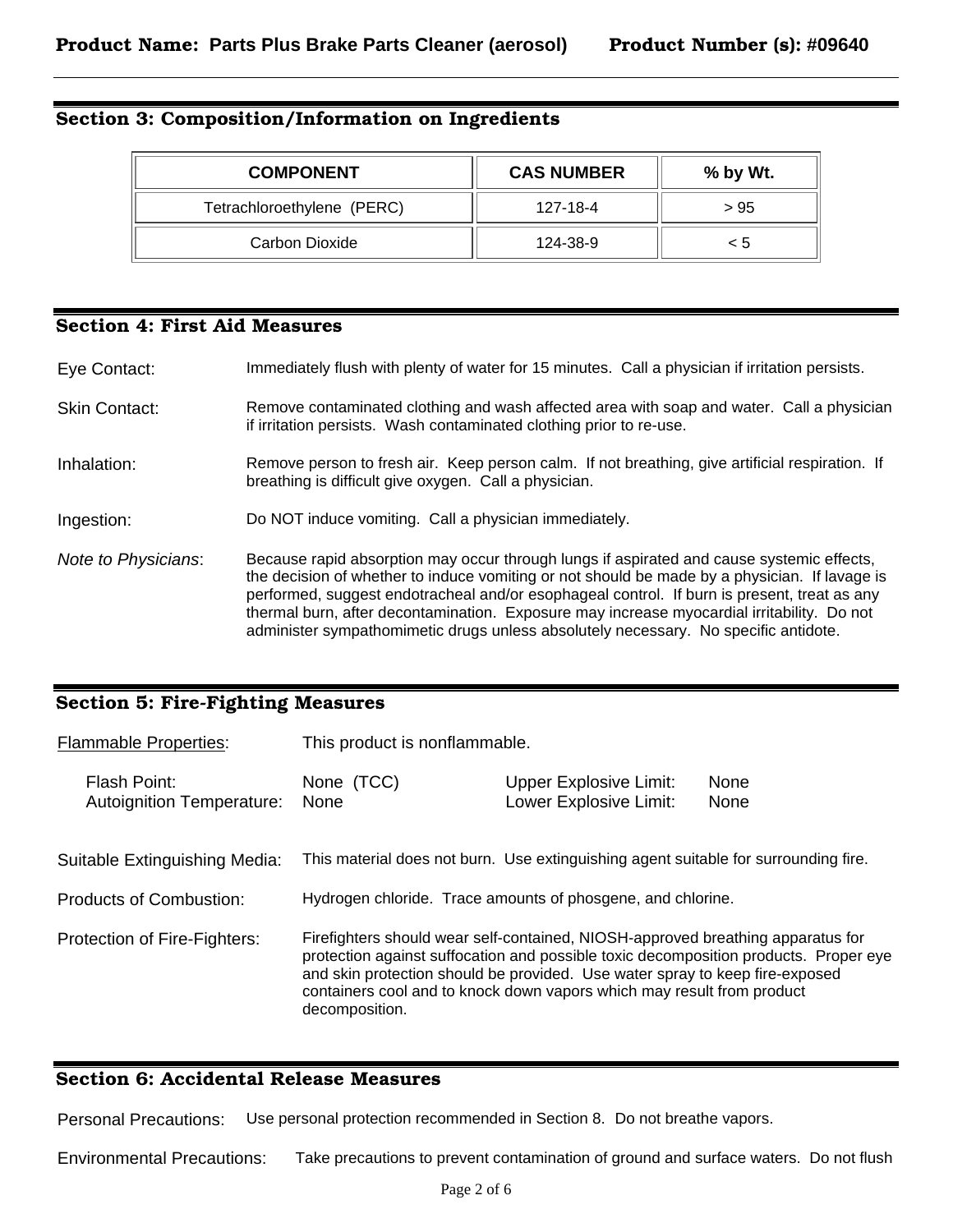# Section 3: Composition/Information on Ingredients

| <b>COMPONENT</b>           | <b>CAS NUMBER</b> | $%$ by Wt. |  |
|----------------------------|-------------------|------------|--|
| Tetrachloroethylene (PERC) | 127-18-4          | > 95       |  |
| Carbon Dioxide             | 124-38-9          | < 5        |  |

## Section 4: First Aid Measures

| Eye Contact:         | Immediately flush with plenty of water for 15 minutes. Call a physician if irritation persists.                                                                                                                                                                                                                                                                                                                                                                                |
|----------------------|--------------------------------------------------------------------------------------------------------------------------------------------------------------------------------------------------------------------------------------------------------------------------------------------------------------------------------------------------------------------------------------------------------------------------------------------------------------------------------|
| <b>Skin Contact:</b> | Remove contaminated clothing and wash affected area with soap and water. Call a physician<br>if irritation persists. Wash contaminated clothing prior to re-use.                                                                                                                                                                                                                                                                                                               |
| Inhalation:          | Remove person to fresh air. Keep person calm. If not breathing, give artificial respiration. If<br>breathing is difficult give oxygen. Call a physician.                                                                                                                                                                                                                                                                                                                       |
| Ingestion:           | Do NOT induce vomiting. Call a physician immediately.                                                                                                                                                                                                                                                                                                                                                                                                                          |
| Note to Physicians:  | Because rapid absorption may occur through lungs if aspirated and cause systemic effects,<br>the decision of whether to induce vomiting or not should be made by a physician. If lavage is<br>performed, suggest endotracheal and/or esophageal control. If burn is present, treat as any<br>thermal burn, after decontamination. Exposure may increase myocardial irritability. Do not<br>administer sympathomimetic drugs unless absolutely necessary. No specific antidote. |

# Section 5: Fire-Fighting Measures

| <b>Flammable Properties:</b>                     | This product is nonflammable.                                                                                                                                                                                                                                                                                                                       |                                                                                     |              |
|--------------------------------------------------|-----------------------------------------------------------------------------------------------------------------------------------------------------------------------------------------------------------------------------------------------------------------------------------------------------------------------------------------------------|-------------------------------------------------------------------------------------|--------------|
| Flash Point:<br><b>Autoignition Temperature:</b> | None (TCC)<br><b>None</b>                                                                                                                                                                                                                                                                                                                           | <b>Upper Explosive Limit:</b><br>Lower Explosive Limit:                             | None<br>None |
| Suitable Extinguishing Media:                    |                                                                                                                                                                                                                                                                                                                                                     | This material does not burn. Use extinguishing agent suitable for surrounding fire. |              |
| <b>Products of Combustion:</b>                   |                                                                                                                                                                                                                                                                                                                                                     | Hydrogen chloride. Trace amounts of phosgene, and chlorine.                         |              |
| Protection of Fire-Fighters:                     | Firefighters should wear self-contained, NIOSH-approved breathing apparatus for<br>protection against suffocation and possible toxic decomposition products. Proper eye<br>and skin protection should be provided. Use water spray to keep fire-exposed<br>containers cool and to knock down vapors which may result from product<br>decomposition. |                                                                                     |              |

## Section 6: Accidental Release Measures

Personal Precautions: Use personal protection recommended in Section 8. Do not breathe vapors.

Environmental Precautions: Take precautions to prevent contamination of ground and surface waters. Do not flush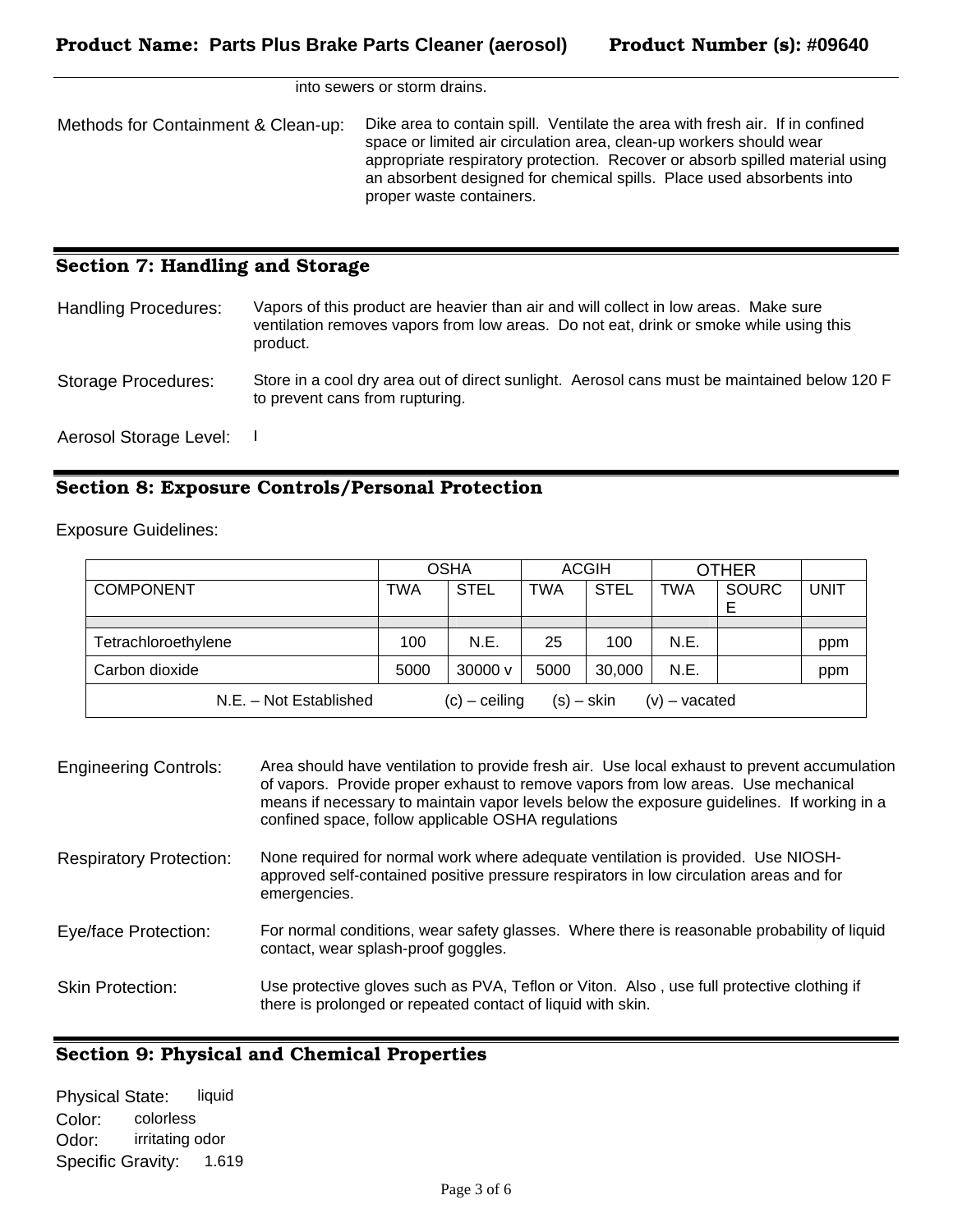into sewers or storm drains.

Methods for Containment & Clean-up: Dike area to contain spill. Ventilate the area with fresh air. If in confined space or limited air circulation area, clean-up workers should wear appropriate respiratory protection. Recover or absorb spilled material using an absorbent designed for chemical spills. Place used absorbents into proper waste containers.

## Section 7: Handling and Storage

| <b>Handling Procedures:</b> | Vapors of this product are heavier than air and will collect in low areas. Make sure<br>ventilation removes vapors from low areas. Do not eat, drink or smoke while using this<br>product. |
|-----------------------------|--------------------------------------------------------------------------------------------------------------------------------------------------------------------------------------------|
| Storage Procedures:         | Store in a cool dry area out of direct sunlight. Aerosol cans must be maintained below 120 F<br>to prevent cans from rupturing.                                                            |
| Aerosol Storage Level:      |                                                                                                                                                                                            |

## Section 8: Exposure Controls/Personal Protection

Exposure Guidelines:

|                        | <b>OSHA</b> |                   | <b>ACGIH</b> |             | <b>OTHER</b>    |              |             |
|------------------------|-------------|-------------------|--------------|-------------|-----------------|--------------|-------------|
| <b>COMPONENT</b>       | TWA         | <b>STEL</b>       | <b>TWA</b>   | <b>STEL</b> | <b>TWA</b>      | <b>SOURC</b> | <b>UNIT</b> |
|                        |             |                   |              |             |                 |              |             |
| Tetrachloroethylene    | 100         | N.E.              | 25           | 100         | N.E.            |              | ppm         |
| Carbon dioxide         | 5000        | $30000 \text{ v}$ | 5000         | 30,000      | N.E.            |              | ppm         |
| N.E. - Not Established |             | $(c)$ – ceiling   | $(s) -$ skin |             | $(v)$ – vacated |              |             |

| <b>Engineering Controls:</b>   | Area should have ventilation to provide fresh air. Use local exhaust to prevent accumulation<br>of vapors. Provide proper exhaust to remove vapors from low areas. Use mechanical<br>means if necessary to maintain vapor levels below the exposure guidelines. If working in a<br>confined space, follow applicable OSHA regulations |
|--------------------------------|---------------------------------------------------------------------------------------------------------------------------------------------------------------------------------------------------------------------------------------------------------------------------------------------------------------------------------------|
| <b>Respiratory Protection:</b> | None required for normal work where adequate ventilation is provided. Use NIOSH-<br>approved self-contained positive pressure respirators in low circulation areas and for<br>emergencies.                                                                                                                                            |
| Eye/face Protection:           | For normal conditions, wear safety glasses. Where there is reasonable probability of liquid<br>contact, wear splash-proof goggles.                                                                                                                                                                                                    |
| <b>Skin Protection:</b>        | Use protective gloves such as PVA, Teflon or Viton. Also, use full protective clothing if<br>there is prolonged or repeated contact of liquid with skin.                                                                                                                                                                              |

## Section 9: Physical and Chemical Properties

Physical State: liquid Color: colorless Odor: irritating odor Specific Gravity: 1.619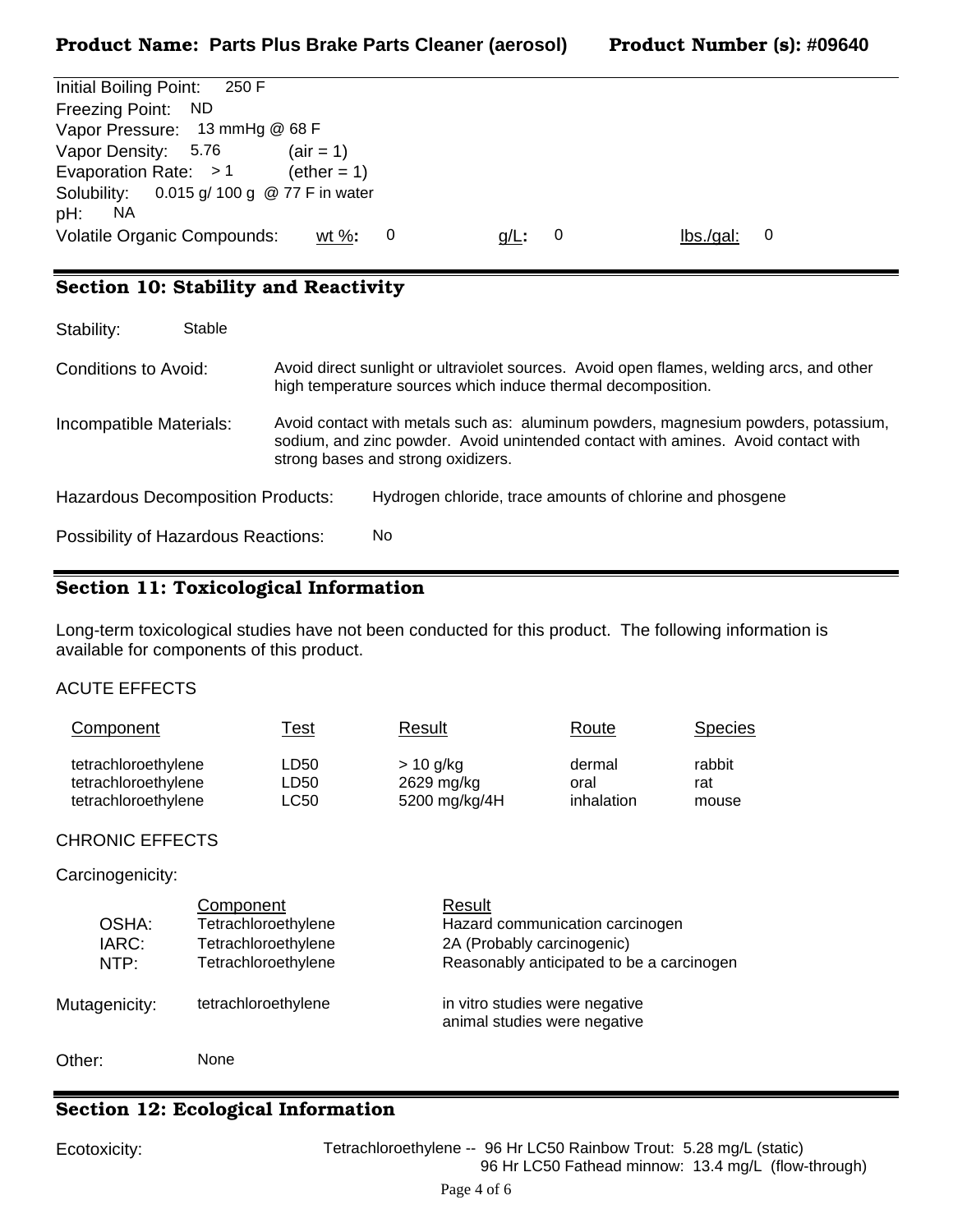|  |  | Product Number (s): #09640 |
|--|--|----------------------------|
|--|--|----------------------------|

| Initial Boiling Point:<br>250 F                                                                                       |  |
|-----------------------------------------------------------------------------------------------------------------------|--|
| Freezing Point: ND                                                                                                    |  |
| Vapor Pressure: 13 mmHg @ 68 F                                                                                        |  |
| Vapor Density: 5.76<br>$(air = 1)$                                                                                    |  |
| Evaporation Rate: $>1$<br>$(\text{ether} = 1)$                                                                        |  |
| Solubility: 0.015 g/ 100 g @ 77 F in water                                                                            |  |
| pH:<br>NA.                                                                                                            |  |
| <b>Volatile Organic Compounds:</b><br>$\mathsf{lbs}$ ./gal:<br>wt $\%$ :<br>-0<br>$g/L$ :<br>$\overline{\phantom{0}}$ |  |

# Section 10: Stability and Reactivity

| Stability:                                 | Stable |                                                                                                                                                                                                               |                                                                                                                                                          |  |
|--------------------------------------------|--------|---------------------------------------------------------------------------------------------------------------------------------------------------------------------------------------------------------------|----------------------------------------------------------------------------------------------------------------------------------------------------------|--|
| Conditions to Avoid:                       |        |                                                                                                                                                                                                               | Avoid direct sunlight or ultraviolet sources. Avoid open flames, welding arcs, and other<br>high temperature sources which induce thermal decomposition. |  |
| Incompatible Materials:                    |        | Avoid contact with metals such as: aluminum powders, magnesium powders, potassium,<br>sodium, and zinc powder. Avoid unintended contact with amines. Avoid contact with<br>strong bases and strong oxidizers. |                                                                                                                                                          |  |
| <b>Hazardous Decomposition Products:</b>   |        |                                                                                                                                                                                                               | Hydrogen chloride, trace amounts of chlorine and phosgene                                                                                                |  |
| <b>Possibility of Hazardous Reactions:</b> |        |                                                                                                                                                                                                               | No.                                                                                                                                                      |  |

# Section 11: Toxicological Information

Long-term toxicological studies have not been conducted for this product. The following information is available for components of this product.

## ACUTE EFFECTS

| Component           | <u>Test</u> | Result        | Route      | <b>Species</b> |
|---------------------|-------------|---------------|------------|----------------|
| tetrachloroethylene | LD50        | $> 10$ g/kg   | dermal     | rabbit         |
| tetrachloroethylene | LD50        | 2629 mg/kg    | oral       | rat            |
| tetrachloroethylene | LC50        | 5200 mg/kg/4H | inhalation | mouse          |

## CHRONIC EFFECTS

#### Carcinogenicity:

| OSHA:<br>IARC:<br>NTP: | Component<br>Tetrachloroethylene<br>Tetrachloroethylene<br>Tetrachloroethylene | Result<br>Hazard communication carcinogen<br>2A (Probably carcinogenic)<br>Reasonably anticipated to be a carcinogen |
|------------------------|--------------------------------------------------------------------------------|----------------------------------------------------------------------------------------------------------------------|
| Mutagenicity:          | tetrachloroethylene                                                            | in vitro studies were negative<br>animal studies were negative                                                       |
| Other:                 | None                                                                           |                                                                                                                      |

# Section 12: Ecological Information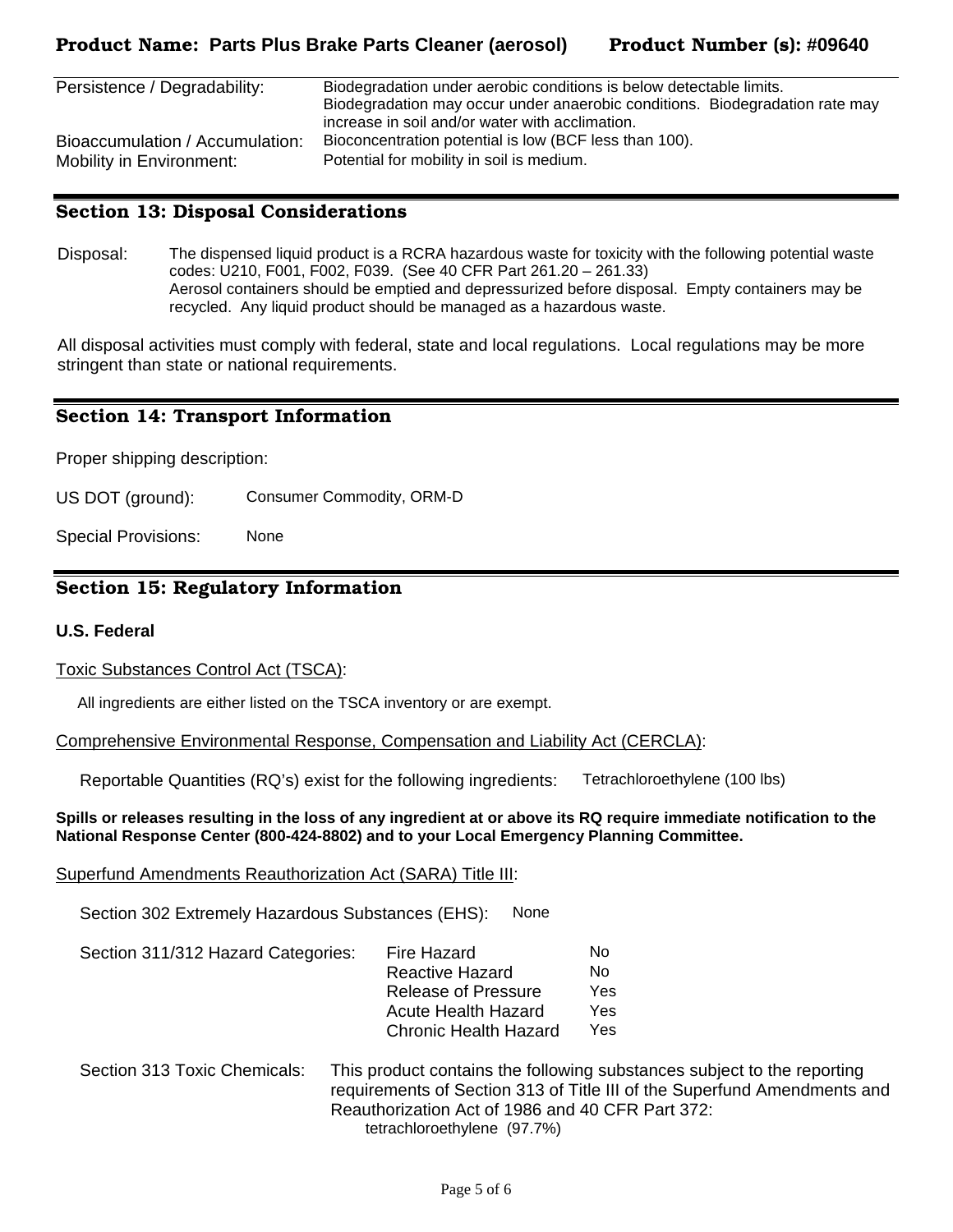Mobility in Environment: Potential for mobility in soil is medium.

| Persistence / Degradability:    | Biodegradation under aerobic conditions is below detectable limits.          |  |  |
|---------------------------------|------------------------------------------------------------------------------|--|--|
|                                 | Biodegradation may occur under anaerobic conditions. Biodegradation rate may |  |  |
|                                 | increase in soil and/or water with acclimation.                              |  |  |
| Bioaccumulation / Accumulation: | Bioconcentration potential is low (BCF less than 100).                       |  |  |

## Section 13: Disposal Considerations

Disposal: The dispensed liquid product is a RCRA hazardous waste for toxicity with the following potential waste codes: U210, F001, F002, F039. (See 40 CFR Part 261.20 – 261.33) Aerosol containers should be emptied and depressurized before disposal. Empty containers may be recycled. Any liquid product should be managed as a hazardous waste.

All disposal activities must comply with federal, state and local regulations. Local regulations may be more stringent than state or national requirements.

#### Section 14: Transport Information

Proper shipping description:

US DOT (ground): Consumer Commodity, ORM-D

Special Provisions: None

## Section 15: Regulatory Information

#### **U.S. Federal**

Toxic Substances Control Act (TSCA):

All ingredients are either listed on the TSCA inventory or are exempt.

Comprehensive Environmental Response, Compensation and Liability Act (CERCLA):

Reportable Quantities (RQ's) exist for the following ingredients: Tetrachloroethylene (100 lbs)

**Spills or releases resulting in the loss of any ingredient at or above its RQ require immediate notification to the National Response Center (800-424-8802) and to your Local Emergency Planning Committee.** 

#### Superfund Amendments Reauthorization Act (SARA) Title III:

Section 302 Extremely Hazardous Substances (EHS): None

| Section 311/312 Hazard Categories: | Fire Hazard                  | No.  |
|------------------------------------|------------------------------|------|
|                                    | Reactive Hazard              | No.  |
|                                    | Release of Pressure          | Yes. |
|                                    | Acute Health Hazard          | Yes. |
|                                    | <b>Chronic Health Hazard</b> | Yes  |
|                                    |                              |      |

Section 313 Toxic Chemicals: This product contains the following substances subject to the reporting requirements of Section 313 of Title III of the Superfund Amendments and Reauthorization Act of 1986 and 40 CFR Part 372: tetrachloroethylene (97.7%)